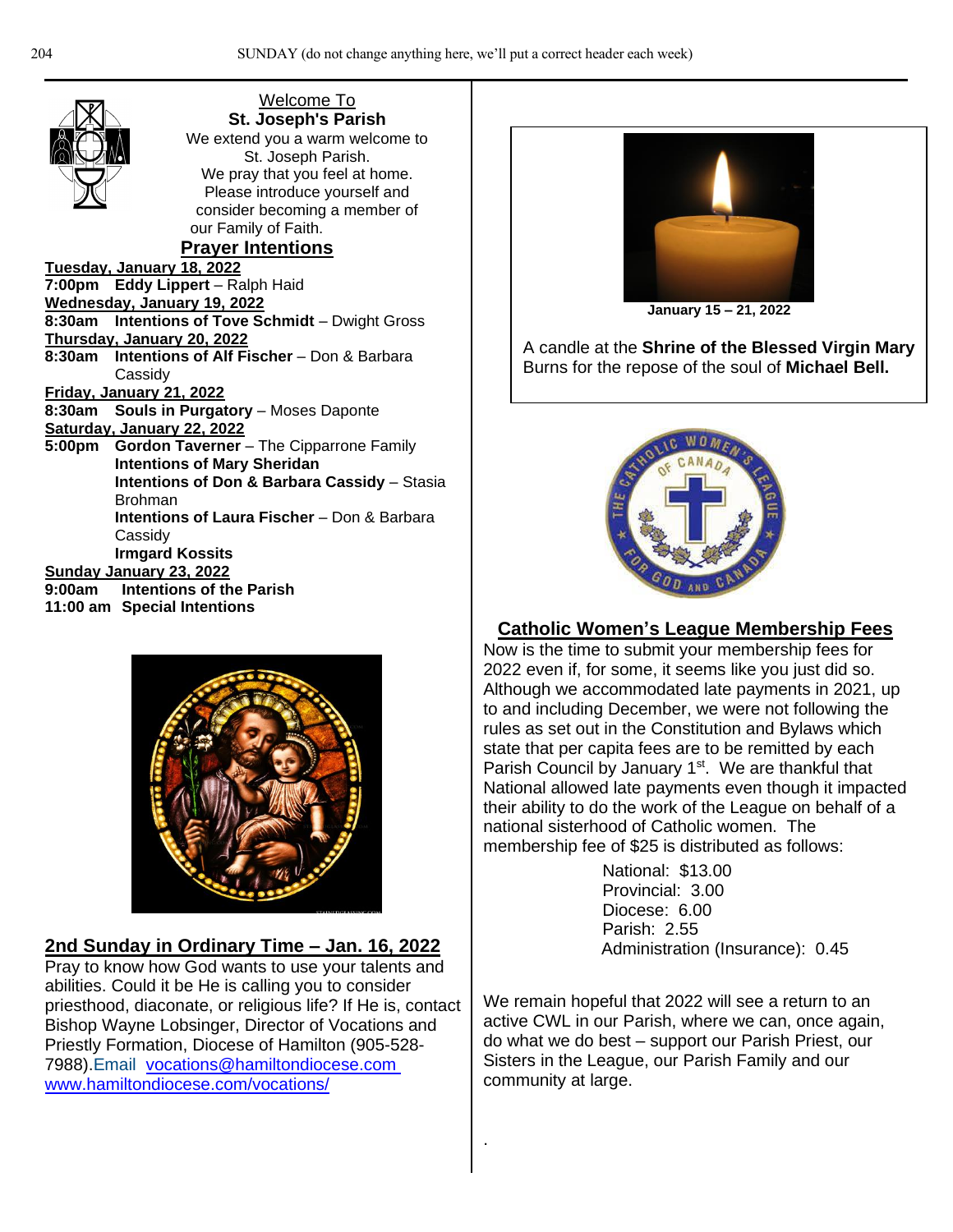| <b>Welcome To</b>                                       |
|---------------------------------------------------------|
| St. Joseph's Parish                                     |
| We extend you a warm welcome to                         |
| St. Joseph Parish.                                      |
| We pray that you feel at home.                          |
| Please introduce yourself and                           |
| consider becoming a member of                           |
| our Family of Faith.                                    |
| <b>Prayer Intentions</b>                                |
| Tuesday, January 18, 2022                               |
| 7:00pm Eddy Lippert - Ralph Haid                        |
| Wednesday, January 19, 2022                             |
| 8:30am Intentions of Tove Schmidt - Dwight Gross        |
| <u>Thursday, January 20, 2022</u>                       |
| 8:30am Intentions of Alf Fischer - Don & Barbara        |
| Cassidy                                                 |
| Friday, January 21, 2022                                |
| <b>Souls in Purgatory - Moses Daponte</b><br>8:30am     |
| Saturday, January 22, 2022                              |
| 5:00pm Gordon Taverner - The Cipparrone Family          |
| <b>Intentions of Mary Sheridan</b>                      |
| <b>Intentions of Don &amp; Barbara Cassidy - Stasia</b> |
| <b>Brohman</b>                                          |
| <b>Intentions of Laura Fischer</b> - Don & Barbara      |
| Cassidy                                                 |
| <b>Irmgard Kossits</b>                                  |
| <b>Sunday January 23, 2022</b>                          |
| 9:00am Intentions of the Parish                         |
| 11:00 am Special Intentions                             |
|                                                         |



## **2nd Sunday in Ordinary Time – Jan. 16, 2022**

Pray to know how God wants to use your talents and abilities. Could it be He is calling you to consider priesthood, diaconate, or religious life? If He is, contact Bishop Wayne Lobsinger, Director of Vocations and Priestly Formation, Diocese of Hamilton (905-528- 7988).Email [vocations@hamiltondiocese.com](mailto:vocations@hamiltondiocese.com) [www.hamiltondiocese.com/vocations/](http://www.hamiltondiocese.com/vocations/)



**January 15 – 21, 2022**

A candle at the **Shrine of the Blessed Virgin Mary** Burns for the repose of the soul of **Michael Bell.**



## **Catholic Women's League Membership Fees**

Now is the time to submit your membership fees for 2022 even if, for some, it seems like you just did so. Although we accommodated late payments in 2021, up to and including December, we were not following the rules as set out in the Constitution and Bylaws which state that per capita fees are to be remitted by each Parish Council by January 1<sup>st</sup>. We are thankful that National allowed late payments even though it impacted their ability to do the work of the League on behalf of a national sisterhood of Catholic women. The membership fee of \$25 is distributed as follows:

> National: \$13.00 Provincial: 3.00 Diocese: 6.00 Parish: 2.55 Administration (Insurance): 0.45

We remain hopeful that 2022 will see a return to an active CWL in our Parish, where we can, once again, do what we do best – support our Parish Priest, our Sisters in the League, our Parish Family and our community at large.

.